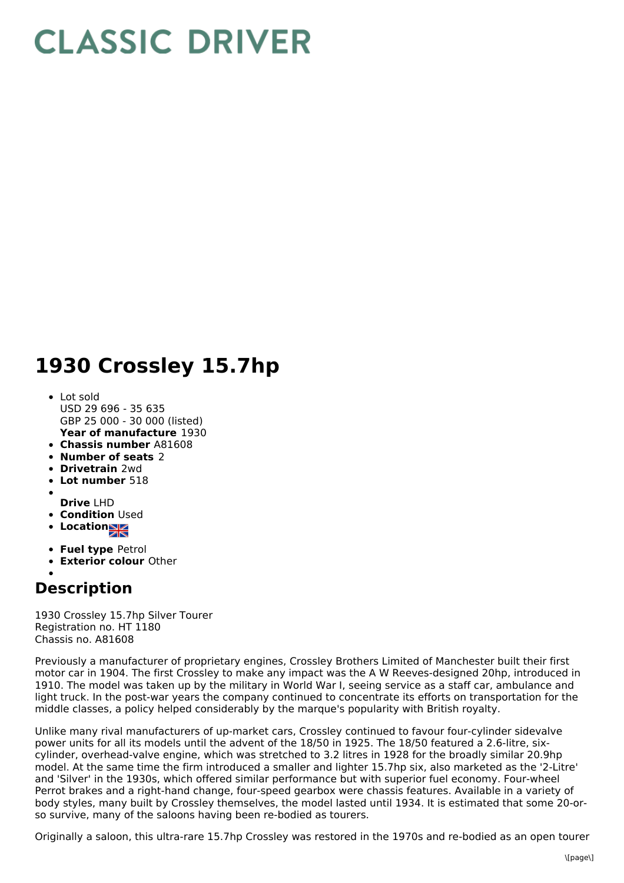## **CLASSIC DRIVER**

## **1930 Crossley 15.7hp**

- **Year of manufacture** 1930 • Lot sold USD 29 696 - 35 635 GBP 25 000 - 30 000 (listed)
- **Chassis number** A81608
- **Number of seats** 2
- **Drivetrain** 2wd
- **Lot number** 518
- **Drive** LHD
- **Condition** Used
- **Location**
- **Fuel type** Petrol
- **Exterior colour** Other

## **Description**

1930 Crossley 15.7hp Silver Tourer Registration no. HT 1180 Chassis no. A81608

Previously a manufacturer of proprietary engines, Crossley Brothers Limited of Manchester built their first motor car in 1904. The first Crossley to make any impact was the A W Reeves-designed 20hp, introduced in 1910. The model was taken up by the military in World War I, seeing service as a staff car, ambulance and light truck. In the post-war years the company continued to concentrate its efforts on transportation for the middle classes, a policy helped considerably by the marque's popularity with British royalty.

Unlike many rival manufacturers of up-market cars, Crossley continued to favour four-cylinder sidevalve power units for all its models until the advent of the 18/50 in 1925. The 18/50 featured a 2.6-litre, sixcylinder, overhead-valve engine, which was stretched to 3.2 litres in 1928 for the broadly similar 20.9hp model. At the same time the firm introduced a smaller and lighter 15.7hp six, also marketed as the '2-Litre' and 'Silver' in the 1930s, which offered similar performance but with superior fuel economy. Four-wheel Perrot brakes and a right-hand change, four-speed gearbox were chassis features. Available in a variety of body styles, many built by Crossley themselves, the model lasted until 1934. It is estimated that some 20-orso survive, many of the saloons having been re-bodied as tourers.

Originally a saloon, this ultra-rare 15.7hp Crossley was restored in the 1970s and re-bodied as an open tourer